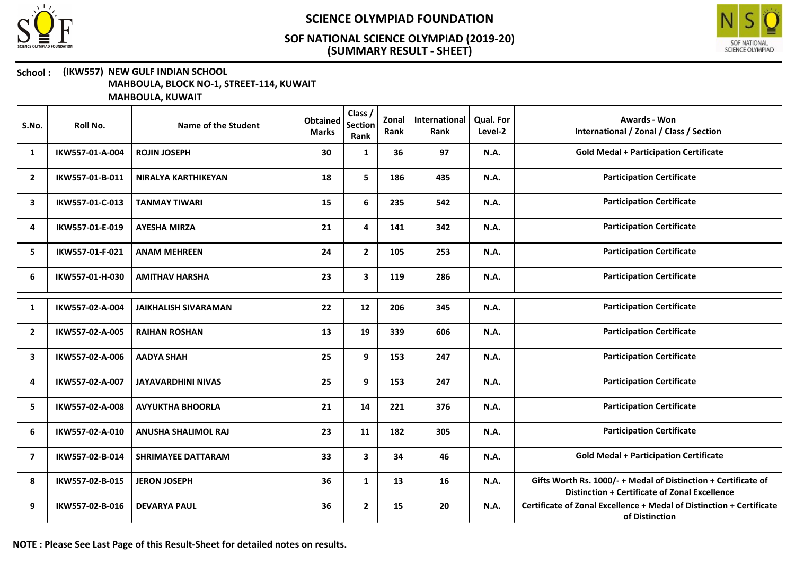



#### School : (IKW557) NEW GULF INDIAN SCHOOL MAHBOULA, BLOCK NO-1, STREET-114, KUWAIT

| S.No.                   | Roll No.        | Name of the Student         | <b>Obtained</b><br><b>Marks</b> | Class /<br><b>Section</b><br>Rank | Zonal<br>Rank | International<br>Rank | Qual. For<br>Level-2 | <b>Awards - Won</b><br>International / Zonal / Class / Section                                                  |
|-------------------------|-----------------|-----------------------------|---------------------------------|-----------------------------------|---------------|-----------------------|----------------------|-----------------------------------------------------------------------------------------------------------------|
| 1                       | IKW557-01-A-004 | <b>ROJIN JOSEPH</b>         | 30                              | 1                                 | 36            | 97                    | <b>N.A.</b>          | <b>Gold Medal + Participation Certificate</b>                                                                   |
| $\overline{2}$          | IKW557-01-B-011 | <b>NIRALYA KARTHIKEYAN</b>  | 18                              | 5                                 | 186           | 435                   | <b>N.A.</b>          | <b>Participation Certificate</b>                                                                                |
| 3                       | IKW557-01-C-013 | <b>TANMAY TIWARI</b>        | 15                              | 6                                 | 235           | 542                   | <b>N.A.</b>          | <b>Participation Certificate</b>                                                                                |
| 4                       | IKW557-01-E-019 | <b>AYESHA MIRZA</b>         | 21                              | 4                                 | 141           | 342                   | <b>N.A.</b>          | <b>Participation Certificate</b>                                                                                |
| 5                       | IKW557-01-F-021 | <b>ANAM MEHREEN</b>         | 24                              | $\mathbf{2}$                      | 105           | 253                   | <b>N.A.</b>          | <b>Participation Certificate</b>                                                                                |
| 6                       | IKW557-01-H-030 | <b>AMITHAV HARSHA</b>       | 23                              | $\mathbf{3}$                      | 119           | 286                   | <b>N.A.</b>          | <b>Participation Certificate</b>                                                                                |
| 1                       | IKW557-02-A-004 | <b>JAIKHALISH SIVARAMAN</b> | 22                              | 12                                | 206           | 345                   | <b>N.A.</b>          | <b>Participation Certificate</b>                                                                                |
| $\overline{2}$          | IKW557-02-A-005 | <b>RAIHAN ROSHAN</b>        | 13                              | 19                                | 339           | 606                   | <b>N.A.</b>          | <b>Participation Certificate</b>                                                                                |
| 3                       | IKW557-02-A-006 | <b>AADYA SHAH</b>           | 25                              | 9                                 | 153           | 247                   | N.A.                 | <b>Participation Certificate</b>                                                                                |
| 4                       | IKW557-02-A-007 | <b>JAYAVARDHINI NIVAS</b>   | 25                              | 9                                 | 153           | 247                   | <b>N.A.</b>          | <b>Participation Certificate</b>                                                                                |
| 5                       | IKW557-02-A-008 | <b>AVYUKTHA BHOORLA</b>     | 21                              | 14                                | 221           | 376                   | <b>N.A.</b>          | <b>Participation Certificate</b>                                                                                |
| 6                       | IKW557-02-A-010 | <b>ANUSHA SHALIMOL RAJ</b>  | 23                              | 11                                | 182           | 305                   | <b>N.A.</b>          | <b>Participation Certificate</b>                                                                                |
| $\overline{\mathbf{z}}$ | IKW557-02-B-014 | <b>SHRIMAYEE DATTARAM</b>   | 33                              | 3                                 | 34            | 46                    | N.A.                 | <b>Gold Medal + Participation Certificate</b>                                                                   |
| 8                       | IKW557-02-B-015 | <b>JERON JOSEPH</b>         | 36                              | $\mathbf{1}$                      | 13            | 16                    | <b>N.A.</b>          | Gifts Worth Rs. 1000/- + Medal of Distinction + Certificate of<br>Distinction + Certificate of Zonal Excellence |
| 9                       | IKW557-02-B-016 | <b>DEVARYA PAUL</b>         | 36                              | $\mathbf{2}$                      | 15            | 20                    | <b>N.A.</b>          | Certificate of Zonal Excellence + Medal of Distinction + Certificate<br>of Distinction                          |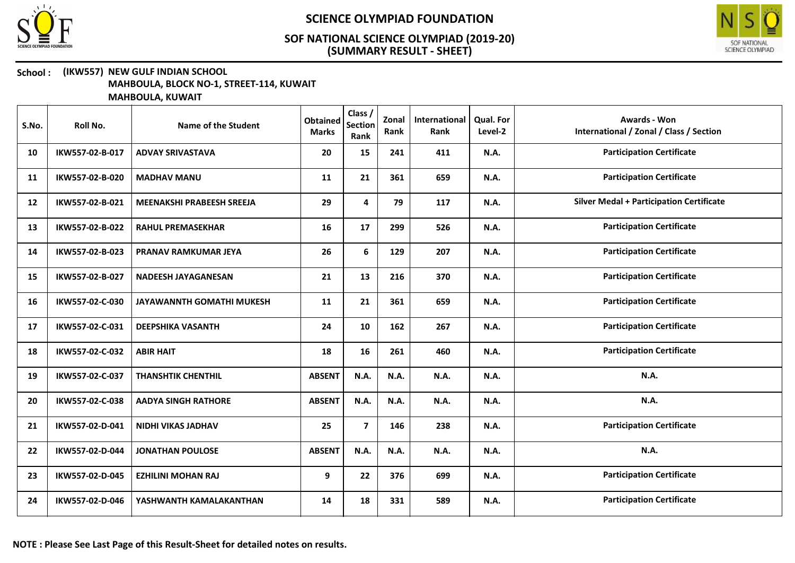



#### School : (IKW557) NEW GULF INDIAN SCHOOL MAHBOULA, BLOCK NO-1, STREET-114, KUWAIT

| S.No. | Roll No.        | Name of the Student              | <b>Obtained</b><br><b>Marks</b> | Class /<br><b>Section</b><br>Rank | Zonal<br>Rank | International<br>Rank | <b>Qual. For</b><br>Level-2 | <b>Awards - Won</b><br>International / Zonal / Class / Section |
|-------|-----------------|----------------------------------|---------------------------------|-----------------------------------|---------------|-----------------------|-----------------------------|----------------------------------------------------------------|
| 10    | IKW557-02-B-017 | <b>ADVAY SRIVASTAVA</b>          | 20                              | 15                                | 241           | 411                   | N.A.                        | <b>Participation Certificate</b>                               |
| 11    | IKW557-02-B-020 | <b>MADHAV MANU</b>               | 11                              | 21                                | 361           | 659                   | N.A.                        | <b>Participation Certificate</b>                               |
| 12    | IKW557-02-B-021 | MEENAKSHI PRABEESH SREEJA        | 29                              | 4                                 | 79            | 117                   | N.A.                        | <b>Silver Medal + Participation Certificate</b>                |
| 13    | IKW557-02-B-022 | <b>RAHUL PREMASEKHAR</b>         | 16                              | 17                                | 299           | 526                   | N.A.                        | <b>Participation Certificate</b>                               |
| 14    | IKW557-02-B-023 | PRANAV RAMKUMAR JEYA             | 26                              | 6                                 | 129           | 207                   | N.A.                        | <b>Participation Certificate</b>                               |
| 15    | IKW557-02-B-027 | <b>NADEESH JAYAGANESAN</b>       | 21                              | 13                                | 216           | 370                   | N.A.                        | <b>Participation Certificate</b>                               |
| 16    | IKW557-02-C-030 | <b>JAYAWANNTH GOMATHI MUKESH</b> | 11                              | 21                                | 361           | 659                   | N.A.                        | <b>Participation Certificate</b>                               |
| 17    | IKW557-02-C-031 | <b>DEEPSHIKA VASANTH</b>         | 24                              | 10                                | 162           | 267                   | N.A.                        | <b>Participation Certificate</b>                               |
| 18    | IKW557-02-C-032 | <b>ABIR HAIT</b>                 | 18                              | 16                                | 261           | 460                   | N.A.                        | <b>Participation Certificate</b>                               |
| 19    | IKW557-02-C-037 | <b>THANSHTIK CHENTHIL</b>        | <b>ABSENT</b>                   | N.A.                              | N.A.          | N.A.                  | N.A.                        | N.A.                                                           |
| 20    | IKW557-02-C-038 | <b>AADYA SINGH RATHORE</b>       | <b>ABSENT</b>                   | N.A.                              | N.A.          | N.A.                  | N.A.                        | <b>N.A.</b>                                                    |
| 21    | IKW557-02-D-041 | <b>NIDHI VIKAS JADHAV</b>        | 25                              | $\overline{7}$                    | 146           | 238                   | N.A.                        | <b>Participation Certificate</b>                               |
| 22    | IKW557-02-D-044 | <b>JONATHAN POULOSE</b>          | <b>ABSENT</b>                   | N.A.                              | N.A.          | N.A.                  | N.A.                        | N.A.                                                           |
| 23    | IKW557-02-D-045 | <b>EZHILINI MOHAN RAJ</b>        | 9                               | 22                                | 376           | 699                   | N.A.                        | <b>Participation Certificate</b>                               |
| 24    | IKW557-02-D-046 | YASHWANTH KAMALAKANTHAN          | 14                              | 18                                | 331           | 589                   | N.A.                        | <b>Participation Certificate</b>                               |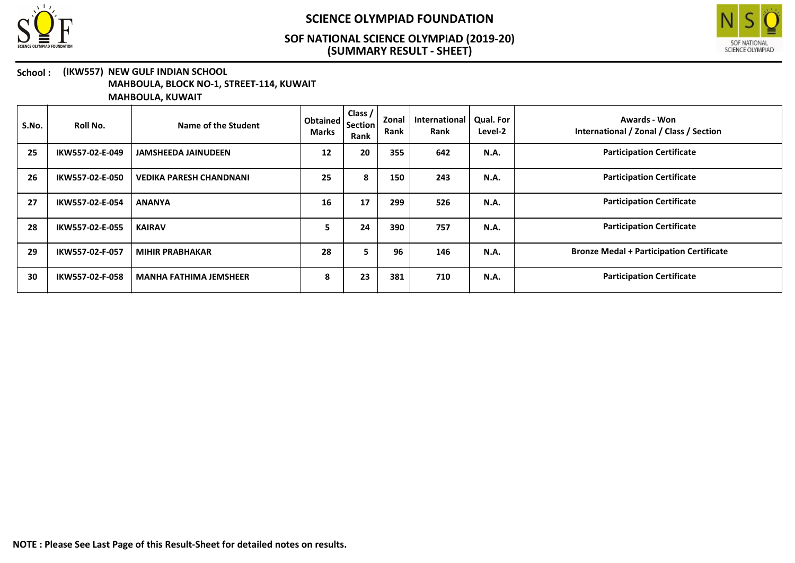



#### School : (IKW557) NEW GULF INDIAN SCHOOL MAHBOULA, BLOCK NO-1, STREET-114, KUWAIT

| S.No. | Roll No.        | Name of the Student            | Obtained<br><b>Marks</b> | Class /<br><b>Section</b><br>Rank | Zonal<br>Rank | International<br>Rank | <b>Qual. For</b><br>Level-2 | Awards - Won<br>International / Zonal / Class / Section |
|-------|-----------------|--------------------------------|--------------------------|-----------------------------------|---------------|-----------------------|-----------------------------|---------------------------------------------------------|
| 25    | IKW557-02-E-049 | <b>JAMSHEEDA JAINUDEEN</b>     | 12                       | 20                                | 355           | 642                   | <b>N.A.</b>                 | <b>Participation Certificate</b>                        |
| 26    | IKW557-02-E-050 | <b>VEDIKA PARESH CHANDNANI</b> | 25                       | 8                                 | 150           | 243                   | <b>N.A.</b>                 | <b>Participation Certificate</b>                        |
| 27    | IKW557-02-E-054 | <b>ANANYA</b>                  | 16                       | 17                                | 299           | 526                   | N.A.                        | <b>Participation Certificate</b>                        |
| 28    | IKW557-02-E-055 | <b>KAIRAV</b>                  | ь                        | 24                                | 390           | 757                   | N.A.                        | <b>Participation Certificate</b>                        |
| 29    | IKW557-02-F-057 | <b>MIHIR PRABHAKAR</b>         | 28                       | 5.                                | 96            | 146                   | <b>N.A.</b>                 | <b>Bronze Medal + Participation Certificate</b>         |
| 30    | IKW557-02-F-058 | <b>MANHA FATHIMA JEMSHEER</b>  | 8                        | 23                                | 381           | 710                   | <b>N.A.</b>                 | <b>Participation Certificate</b>                        |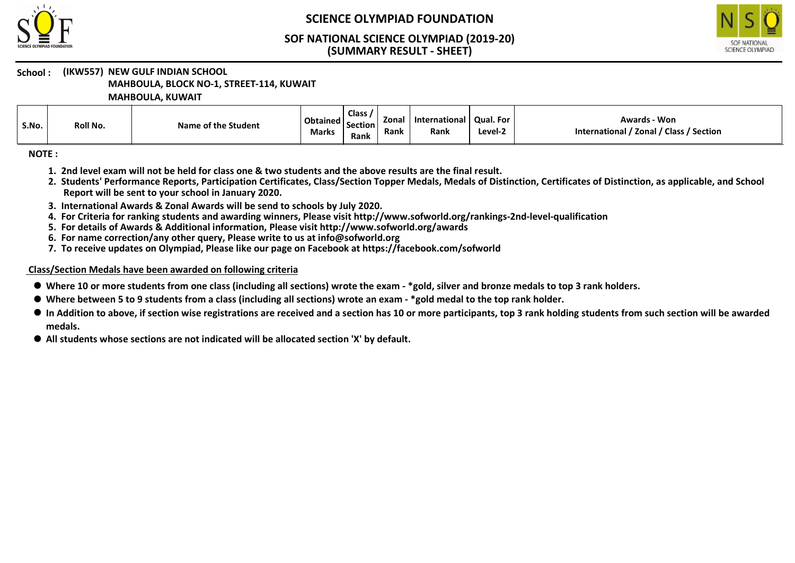



## School : (IKW557) NEW GULF INDIAN SCHOOL

MAHBOULA, BLOCK NO-1, STREET-114, KUWAIT

MAHBOULA, KUWAIT

| S.No. | Roll No. | Name of the Student | $\vert$ Obtained $\vert$ Section<br><b>Marks</b> | <b>Class</b><br><b>Rank</b> | <b>Zona</b><br>Rank | <b>International</b><br>Rank | Qual. For<br>Level-2 | - Won<br>Awards<br>/ Section<br>Zonal / Class<br><b>International</b> |
|-------|----------|---------------------|--------------------------------------------------|-----------------------------|---------------------|------------------------------|----------------------|-----------------------------------------------------------------------|
|-------|----------|---------------------|--------------------------------------------------|-----------------------------|---------------------|------------------------------|----------------------|-----------------------------------------------------------------------|

NOTE :

- 1. 2nd level exam will not be held for class one & two students and the above results are the final result.
- 2. Students' Performance Reports, Participation Certificates, Class/Section Topper Medals, Medals of Distinction, Certificates of Distinction, as applicable, and School Report will be sent to your school in January 2020.
- 3. International Awards & Zonal Awards will be send to schools by July 2020.
- 4. For Criteria for ranking students and awarding winners, Please visit http://www.sofworld.org/rankings-2nd-level-qualification
- 5. For details of Awards & Additional information, Please visit http://www.sofworld.org/awards
- 6. For name correction/any other query, Please write to us at info@sofworld.org
- 7. To receive updates on Olympiad, Please like our page on Facebook at https://facebook.com/sofworld

#### Class/Section Medals have been awarded on following criteria

- Where 10 or more students from one class (including all sections) wrote the exam \*gold, silver and bronze medals to top 3 rank holders.
- Where between 5 to 9 students from a class (including all sections) wrote an exam \*gold medal to the top rank holder.
- $\bullet$  In Addition to above, if section wise registrations are received and a section has 10 or more participants, top 3 rank holding students from such section will be awarded medals.
- All students whose sections are not indicated will be allocated section 'X' by default.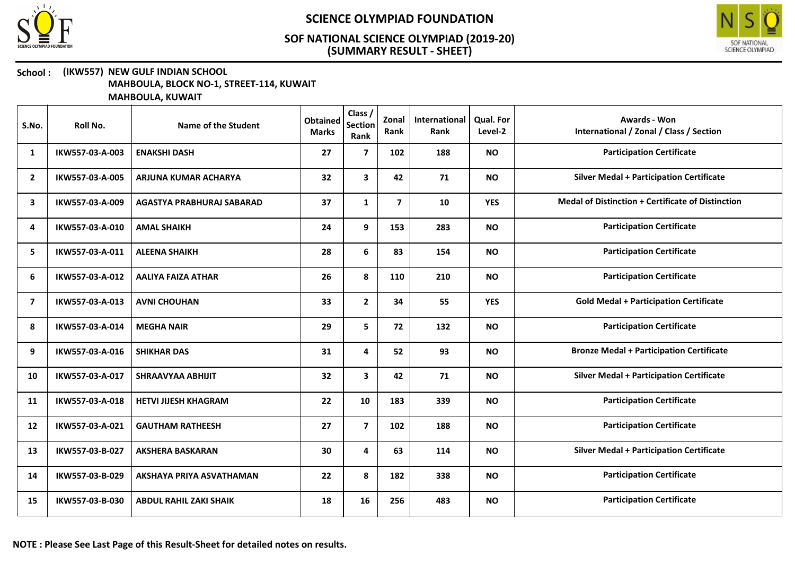



#### School : (IKW557) NEW GULF INDIAN SCHOOL MAHBOULA, BLOCK NO-1, STREET-114, KUWAIT

| S.No.          | Roll No.        | Name of the Student           | <b>Obtained</b><br><b>Marks</b> | Class /<br><b>Section</b><br>Rank | Zonal<br>Rank  | International<br>Rank | Qual. For<br>Level-2 | <b>Awards - Won</b><br>International / Zonal / Class / Section |
|----------------|-----------------|-------------------------------|---------------------------------|-----------------------------------|----------------|-----------------------|----------------------|----------------------------------------------------------------|
| 1              | IKW557-03-A-003 | <b>ENAKSHI DASH</b>           | 27                              | $\overline{7}$                    | 102            | 188                   | <b>NO</b>            | <b>Participation Certificate</b>                               |
| $\overline{2}$ | IKW557-03-A-005 | ARJUNA KUMAR ACHARYA          | 32                              | $\mathbf{3}$                      | 42             | 71                    | <b>NO</b>            | <b>Silver Medal + Participation Certificate</b>                |
| 3              | IKW557-03-A-009 | AGASTYA PRABHURAJ SABARAD     | 37                              | $\mathbf{1}$                      | $\overline{7}$ | 10                    | <b>YES</b>           | <b>Medal of Distinction + Certificate of Distinction</b>       |
| 4              | IKW557-03-A-010 | <b>AMAL SHAIKH</b>            | 24                              | 9                                 | 153            | 283                   | <b>NO</b>            | <b>Participation Certificate</b>                               |
| 5              | IKW557-03-A-011 | <b>ALEENA SHAIKH</b>          | 28                              | 6                                 | 83             | 154                   | <b>NO</b>            | <b>Participation Certificate</b>                               |
| 6              | IKW557-03-A-012 | <b>AALIYA FAIZA ATHAR</b>     | 26                              | 8                                 | 110            | 210                   | <b>NO</b>            | <b>Participation Certificate</b>                               |
| $\overline{7}$ | IKW557-03-A-013 | <b>AVNI CHOUHAN</b>           | 33                              | $\mathbf{2}$                      | 34             | 55                    | <b>YES</b>           | <b>Gold Medal + Participation Certificate</b>                  |
| 8              | IKW557-03-A-014 | <b>MEGHA NAIR</b>             | 29                              | 5                                 | 72             | 132                   | <b>NO</b>            | <b>Participation Certificate</b>                               |
| 9              | IKW557-03-A-016 | <b>SHIKHAR DAS</b>            | 31                              | 4                                 | 52             | 93                    | <b>NO</b>            | <b>Bronze Medal + Participation Certificate</b>                |
| 10             | IKW557-03-A-017 | <b>SHRAAVYAA ABHIJIT</b>      | 32                              | $\mathbf{3}$                      | 42             | 71                    | <b>NO</b>            | <b>Silver Medal + Participation Certificate</b>                |
| 11             | IKW557-03-A-018 | <b>HETVI JIJESH KHAGRAM</b>   | 22                              | 10                                | 183            | 339                   | <b>NO</b>            | <b>Participation Certificate</b>                               |
| 12             | IKW557-03-A-021 | <b>GAUTHAM RATHEESH</b>       | 27                              | $\overline{7}$                    | 102            | 188                   | <b>NO</b>            | <b>Participation Certificate</b>                               |
| 13             | IKW557-03-B-027 | <b>AKSHERA BASKARAN</b>       | 30                              | 4                                 | 63             | 114                   | <b>NO</b>            | <b>Silver Medal + Participation Certificate</b>                |
| 14             | IKW557-03-B-029 | AKSHAYA PRIYA ASVATHAMAN      | 22                              | 8                                 | 182            | 338                   | <b>NO</b>            | <b>Participation Certificate</b>                               |
| 15             | IKW557-03-B-030 | <b>ABDUL RAHIL ZAKI SHAIK</b> | 18                              | 16                                | 256            | 483                   | <b>NO</b>            | <b>Participation Certificate</b>                               |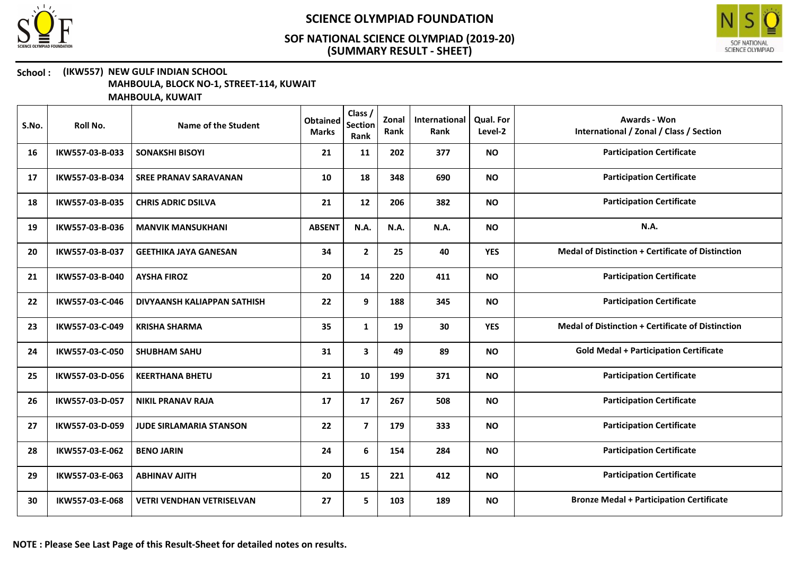



#### School : (IKW557) NEW GULF INDIAN SCHOOL MAHBOULA, BLOCK NO-1, STREET-114, KUWAIT

| S.No. | Roll No.        | Name of the Student              | <b>Obtained</b><br><b>Marks</b> | Class /<br><b>Section</b><br>Rank | Zonal<br>Rank | International<br>Rank | <b>Qual. For</b><br>Level-2 | <b>Awards - Won</b><br>International / Zonal / Class / Section |
|-------|-----------------|----------------------------------|---------------------------------|-----------------------------------|---------------|-----------------------|-----------------------------|----------------------------------------------------------------|
| 16    | IKW557-03-B-033 | <b>SONAKSHI BISOYI</b>           | 21                              | 11                                | 202           | 377                   | <b>NO</b>                   | <b>Participation Certificate</b>                               |
| 17    | IKW557-03-B-034 | <b>SREE PRANAV SARAVANAN</b>     | 10                              | 18                                | 348           | 690                   | <b>NO</b>                   | <b>Participation Certificate</b>                               |
| 18    | IKW557-03-B-035 | <b>CHRIS ADRIC DSILVA</b>        | 21                              | 12                                | 206           | 382                   | <b>NO</b>                   | <b>Participation Certificate</b>                               |
| 19    | IKW557-03-B-036 | <b>MANVIK MANSUKHANI</b>         | <b>ABSENT</b>                   | N.A.                              | N.A.          | N.A.                  | <b>NO</b>                   | N.A.                                                           |
| 20    | IKW557-03-B-037 | <b>GEETHIKA JAYA GANESAN</b>     | 34                              | $\mathbf{2}$                      | 25            | 40                    | <b>YES</b>                  | <b>Medal of Distinction + Certificate of Distinction</b>       |
| 21    | IKW557-03-B-040 | <b>AYSHA FIROZ</b>               | 20                              | 14                                | 220           | 411                   | <b>NO</b>                   | <b>Participation Certificate</b>                               |
| 22    | IKW557-03-C-046 | DIVYAANSH KALIAPPAN SATHISH      | 22                              | 9                                 | 188           | 345                   | <b>NO</b>                   | <b>Participation Certificate</b>                               |
| 23    | IKW557-03-C-049 | <b>KRISHA SHARMA</b>             | 35                              | $\mathbf{1}$                      | 19            | 30                    | <b>YES</b>                  | <b>Medal of Distinction + Certificate of Distinction</b>       |
| 24    | IKW557-03-C-050 | <b>SHUBHAM SAHU</b>              | 31                              | 3                                 | 49            | 89                    | <b>NO</b>                   | <b>Gold Medal + Participation Certificate</b>                  |
| 25    | IKW557-03-D-056 | <b>KEERTHANA BHETU</b>           | 21                              | 10                                | 199           | 371                   | <b>NO</b>                   | <b>Participation Certificate</b>                               |
| 26    | IKW557-03-D-057 | <b>NIKIL PRANAV RAJA</b>         | 17                              | 17                                | 267           | 508                   | <b>NO</b>                   | <b>Participation Certificate</b>                               |
| 27    | IKW557-03-D-059 | <b>JUDE SIRLAMARIA STANSON</b>   | 22                              | $\overline{7}$                    | 179           | 333                   | <b>NO</b>                   | <b>Participation Certificate</b>                               |
| 28    | IKW557-03-E-062 | <b>BENO JARIN</b>                | 24                              | 6                                 | 154           | 284                   | <b>NO</b>                   | <b>Participation Certificate</b>                               |
| 29    | IKW557-03-E-063 | <b>ABHINAV AJITH</b>             | 20                              | 15                                | 221           | 412                   | <b>NO</b>                   | <b>Participation Certificate</b>                               |
| 30    | IKW557-03-E-068 | <b>VETRI VENDHAN VETRISELVAN</b> | 27                              | 5                                 | 103           | 189                   | <b>NO</b>                   | <b>Bronze Medal + Participation Certificate</b>                |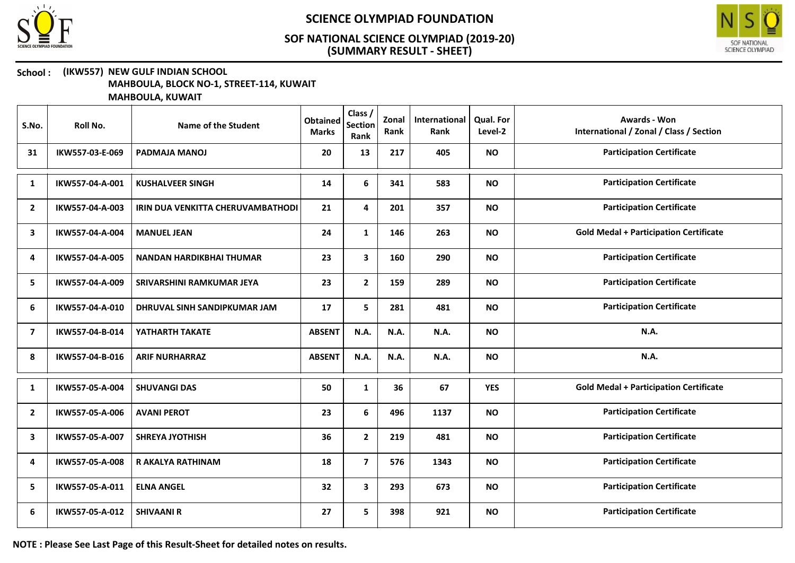



#### School : (IKW557) NEW GULF INDIAN SCHOOL MAHBOULA, BLOCK NO-1, STREET-114, KUWAIT

MAHBOULA, KUWAIT

| S.No.                   | Roll No.        | <b>Name of the Student</b>        | <b>Obtained</b><br><b>Marks</b> | Class /<br><b>Section</b><br>Rank | Zonal<br>Rank | International<br>Rank | Qual. For<br>Level-2 | <b>Awards - Won</b><br>International / Zonal / Class / Section |
|-------------------------|-----------------|-----------------------------------|---------------------------------|-----------------------------------|---------------|-----------------------|----------------------|----------------------------------------------------------------|
| 31                      | IKW557-03-E-069 | <b>PADMAJA MANOJ</b>              | 20                              | 13                                | 217           | 405                   | <b>NO</b>            | <b>Participation Certificate</b>                               |
| $\mathbf{1}$            | IKW557-04-A-001 | <b>KUSHALVEER SINGH</b>           | 14                              | 6                                 | 341           | 583                   | <b>NO</b>            | <b>Participation Certificate</b>                               |
| $\overline{2}$          | IKW557-04-A-003 | IRIN DUA VENKITTA CHERUVAMBATHODI | 21                              | 4                                 | 201           | 357                   | <b>NO</b>            | <b>Participation Certificate</b>                               |
| 3                       | IKW557-04-A-004 | <b>MANUEL JEAN</b>                | 24                              | $\mathbf{1}$                      | 146           | 263                   | <b>NO</b>            | <b>Gold Medal + Participation Certificate</b>                  |
| 4                       | IKW557-04-A-005 | <b>NANDAN HARDIKBHAI THUMAR</b>   | 23                              | $\mathbf{3}$                      | 160           | 290                   | <b>NO</b>            | <b>Participation Certificate</b>                               |
| 5                       | IKW557-04-A-009 | SRIVARSHINI RAMKUMAR JEYA         | 23                              | $\mathbf{2}$                      | 159           | 289                   | <b>NO</b>            | <b>Participation Certificate</b>                               |
| 6                       | IKW557-04-A-010 | DHRUVAL SINH SANDIPKUMAR JAM      | 17                              | 5                                 | 281           | 481                   | <b>NO</b>            | <b>Participation Certificate</b>                               |
| $\overline{\mathbf{z}}$ | IKW557-04-B-014 | YATHARTH TAKATE                   | <b>ABSENT</b>                   | N.A.                              | N.A.          | N.A.                  | <b>NO</b>            | N.A.                                                           |
| 8                       | IKW557-04-B-016 | <b>ARIF NURHARRAZ</b>             | <b>ABSENT</b>                   | N.A.                              | N.A.          | N.A.                  | <b>NO</b>            | N.A.                                                           |
| $\mathbf{1}$            | IKW557-05-A-004 | <b>SHUVANGI DAS</b>               | 50                              | $\mathbf{1}$                      | 36            | 67                    | <b>YES</b>           | <b>Gold Medal + Participation Certificate</b>                  |
| $\overline{2}$          | IKW557-05-A-006 | <b>AVANI PEROT</b>                | 23                              | 6                                 | 496           | 1137                  | <b>NO</b>            | <b>Participation Certificate</b>                               |
| $\mathbf{3}$            | IKW557-05-A-007 | <b>SHREYA JYOTHISH</b>            | 36                              | $\mathbf{2}$                      | 219           | 481                   | <b>NO</b>            | <b>Participation Certificate</b>                               |
| 4                       | IKW557-05-A-008 | R AKALYA RATHINAM                 | 18                              | $\overline{\mathbf{z}}$           | 576           | 1343                  | <b>NO</b>            | <b>Participation Certificate</b>                               |
| 5.                      | IKW557-05-A-011 | <b>ELNA ANGEL</b>                 | 32                              | 3                                 | 293           | 673                   | <b>NO</b>            | <b>Participation Certificate</b>                               |
| 6                       | IKW557-05-A-012 | <b>SHIVAANI R</b>                 | 27                              | 5                                 | 398           | 921                   | <b>NO</b>            | <b>Participation Certificate</b>                               |

NOTE : Please See Last Page of this Result-Sheet for detailed notes on results.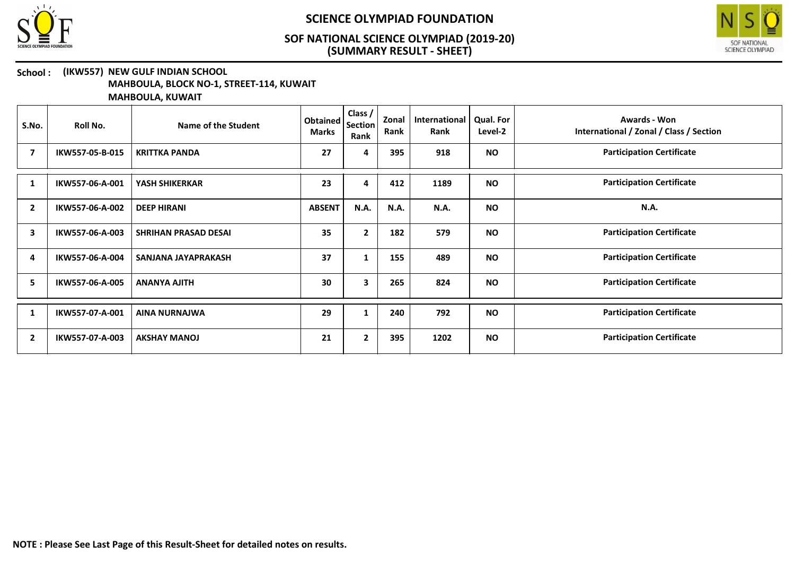



#### School : (IKW557) NEW GULF INDIAN SCHOOL MAHBOULA, BLOCK NO-1, STREET-114, KUWAIT

| S.No.          | Roll No.        | Name of the Student         | Obtained<br><b>Marks</b> | Class /<br><b>Section</b><br>Rank | Zonal<br>Rank | International<br>Rank | <b>Qual. For</b><br>Level-2 | Awards - Won<br>International / Zonal / Class / Section |
|----------------|-----------------|-----------------------------|--------------------------|-----------------------------------|---------------|-----------------------|-----------------------------|---------------------------------------------------------|
| 7              | IKW557-05-B-015 | <b>KRITTKA PANDA</b>        | 27                       | 4                                 | 395           | 918                   | <b>NO</b>                   | <b>Participation Certificate</b>                        |
| 1              | IKW557-06-A-001 | YASH SHIKERKAR              | 23                       | 4                                 | 412           | 1189                  | <b>NO</b>                   | <b>Participation Certificate</b>                        |
| $\overline{2}$ | IKW557-06-A-002 | <b>DEEP HIRANI</b>          | <b>ABSENT</b>            | <b>N.A.</b>                       | N.A.          | N.A.                  | <b>NO</b>                   | <b>N.A.</b>                                             |
| 3              | IKW557-06-A-003 | <b>SHRIHAN PRASAD DESAI</b> | 35                       | $\overline{2}$                    | 182           | 579                   | <b>NO</b>                   | <b>Participation Certificate</b>                        |
| 4              | IKW557-06-A-004 | SANJANA JAYAPRAKASH         | 37                       | 1                                 | 155           | 489                   | <b>NO</b>                   | <b>Participation Certificate</b>                        |
| 5              | IKW557-06-A-005 | <b>ANANYA AJITH</b>         | 30                       | 3                                 | 265           | 824                   | <b>NO</b>                   | <b>Participation Certificate</b>                        |
| 1              | IKW557-07-A-001 | <b>AINA NURNAJWA</b>        | 29                       | 1                                 | 240           | 792                   | <b>NO</b>                   | <b>Participation Certificate</b>                        |
| $\mathbf{2}$   | IKW557-07-A-003 | <b>AKSHAY MANOJ</b>         | 21                       | $\overline{2}$                    | 395           | 1202                  | <b>NO</b>                   | <b>Participation Certificate</b>                        |